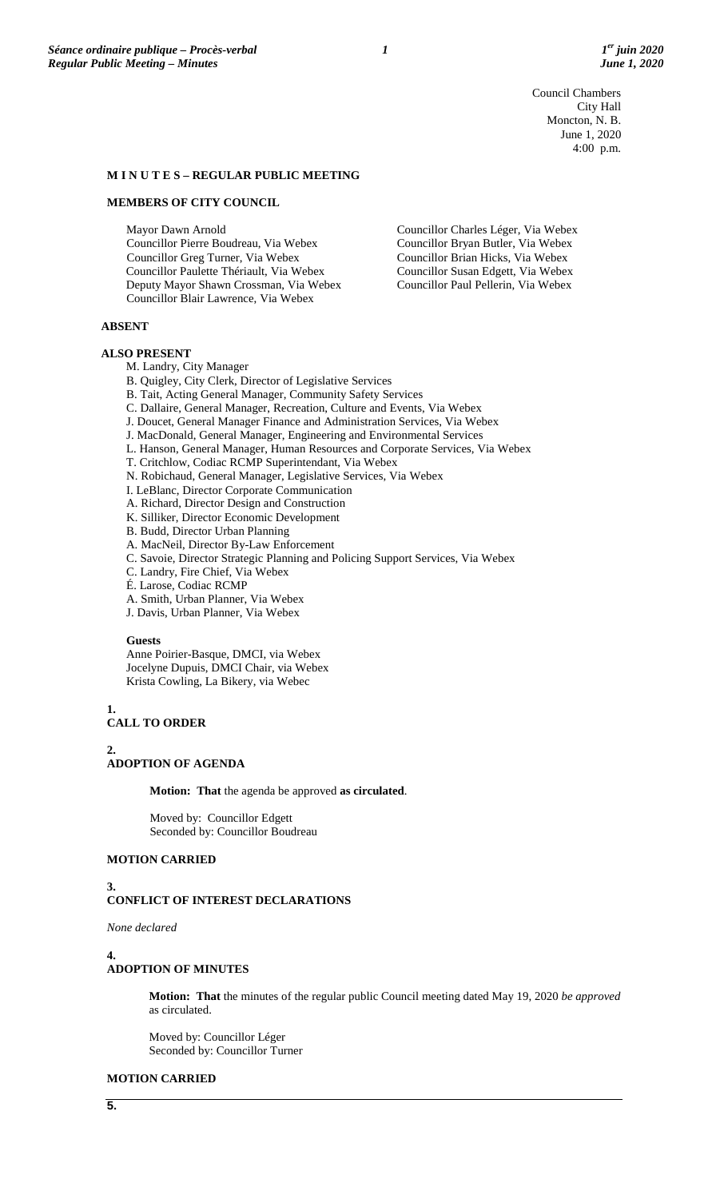Council Chambers City Hall Moncton, N. B. June 1, 2020 4:00 p.m.

#### **M I N U T E S – REGULAR PUBLIC MEETING**

#### **MEMBERS OF CITY COUNCIL**

Mayor Dawn Arnold Councillor Pierre Boudreau, Via Webex Councillor Greg Turner, Via Webex Councillor Paulette Thériault, Via Webex Deputy Mayor Shawn Crossman, Via Webex Councillor Blair Lawrence, Via Webex

Councillor Charles Léger, Via Webex Councillor Bryan Butler, Via Webex Councillor Brian Hicks, Via Webex Councillor Susan Edgett, Via Webex Councillor Paul Pellerin, Via Webex

### **ABSENT**

#### **ALSO PRESENT**

- M. Landry, City Manager
- B. Quigley, City Clerk, Director of Legislative Services
- B. Tait, Acting General Manager, Community Safety Services
- C. Dallaire, General Manager, Recreation, Culture and Events, Via Webex
- J. Doucet, General Manager Finance and Administration Services, Via Webex
- J. MacDonald, General Manager, Engineering and Environmental Services
- L. Hanson, General Manager, Human Resources and Corporate Services, Via Webex
- T. Critchlow, Codiac RCMP Superintendant, Via Webex
- N. Robichaud, General Manager, Legislative Services, Via Webex
- I. LeBlanc, Director Corporate Communication
- A. Richard, Director Design and Construction
- K. Silliker, Director Economic Development
- B. Budd, Director Urban Planning
- A. MacNeil, Director By-Law Enforcement
- C. Savoie, Director Strategic Planning and Policing Support Services, Via Webex
- C. Landry, Fire Chief, Via Webex
- É. Larose, Codiac RCMP
- A. Smith, Urban Planner, Via Webex
- J. Davis, Urban Planner, Via Webex

#### **Guests**

Anne Poirier-Basque, DMCI, via Webex Jocelyne Dupuis, DMCI Chair, via Webex Krista Cowling, La Bikery, via Webec

**1.**

#### **CALL TO ORDER**

**2.**

# **ADOPTION OF AGENDA**

**Motion: That** the agenda be approved **as circulated**.

Moved by: Councillor Edgett Seconded by: Councillor Boudreau

#### **MOTION CARRIED**

#### **3. CONFLICT OF INTEREST DECLARATIONS**

*None declared*

#### **4.**

## **ADOPTION OF MINUTES**

**Motion: That** the minutes of the regular public Council meeting dated May 19, 2020 *be approved* as circulated.

Moved by: Councillor Léger Seconded by: Councillor Turner

### **MOTION CARRIED**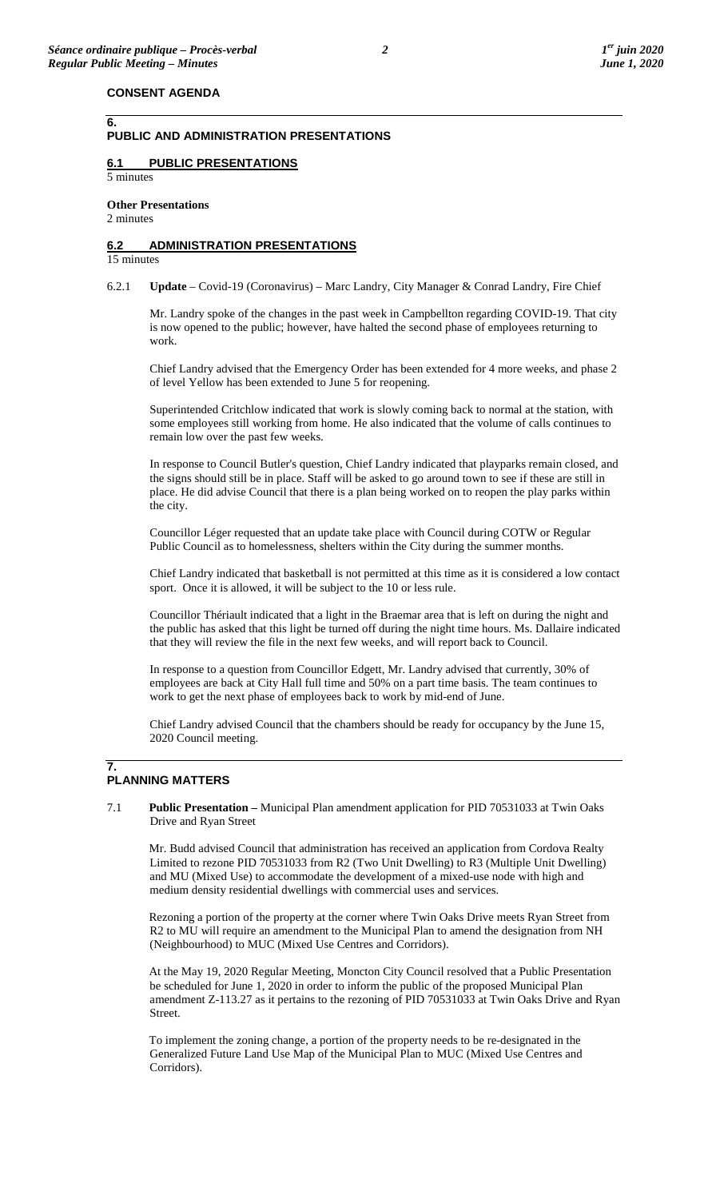## **PUBLIC AND ADMINISTRATION PRESENTATIONS**

## **6.1 PUBLIC PRESENTATIONS**

5 minutes

**6.**

# **Other Presentations**

2 minutes

## **6.2 ADMINISTRATION PRESENTATIONS**

15 minutes

6.2.1 **Update** – Covid-19 (Coronavirus) – Marc Landry, City Manager & Conrad Landry, Fire Chief

Mr. Landry spoke of the changes in the past week in Campbellton regarding COVID-19. That city is now opened to the public; however, have halted the second phase of employees returning to work.

Chief Landry advised that the Emergency Order has been extended for 4 more weeks, and phase 2 of level Yellow has been extended to June 5 for reopening.

Superintended Critchlow indicated that work is slowly coming back to normal at the station, with some employees still working from home. He also indicated that the volume of calls continues to remain low over the past few weeks.

In response to Council Butler's question, Chief Landry indicated that playparks remain closed, and the signs should still be in place. Staff will be asked to go around town to see if these are still in place. He did advise Council that there is a plan being worked on to reopen the play parks within the city.

Councillor Léger requested that an update take place with Council during COTW or Regular Public Council as to homelessness, shelters within the City during the summer months.

Chief Landry indicated that basketball is not permitted at this time as it is considered a low contact sport. Once it is allowed, it will be subject to the 10 or less rule.

Councillor Thériault indicated that a light in the Braemar area that is left on during the night and the public has asked that this light be turned off during the night time hours. Ms. Dallaire indicated that they will review the file in the next few weeks, and will report back to Council.

In response to a question from Councillor Edgett, Mr. Landry advised that currently, 30% of employees are back at City Hall full time and 50% on a part time basis. The team continues to work to get the next phase of employees back to work by mid-end of June.

Chief Landry advised Council that the chambers should be ready for occupancy by the June 15, 2020 Council meeting.

### **7. PLANNING MATTERS**

7.1 **Public Presentation –** Municipal Plan amendment application for PID 70531033 at Twin Oaks Drive and Ryan Street

Mr. Budd advised Council that administration has received an application from Cordova Realty Limited to rezone PID 70531033 from R2 (Two Unit Dwelling) to R3 (Multiple Unit Dwelling) and MU (Mixed Use) to accommodate the development of a mixed-use node with high and medium density residential dwellings with commercial uses and services.

Rezoning a portion of the property at the corner where Twin Oaks Drive meets Ryan Street from R2 to MU will require an amendment to the Municipal Plan to amend the designation from NH (Neighbourhood) to MUC (Mixed Use Centres and Corridors).

At the May 19, 2020 Regular Meeting, Moncton City Council resolved that a Public Presentation be scheduled for June 1, 2020 in order to inform the public of the proposed Municipal Plan amendment Z-113.27 as it pertains to the rezoning of PID 70531033 at Twin Oaks Drive and Ryan Street.

To implement the zoning change, a portion of the property needs to be re-designated in the Generalized Future Land Use Map of the Municipal Plan to MUC (Mixed Use Centres and Corridors).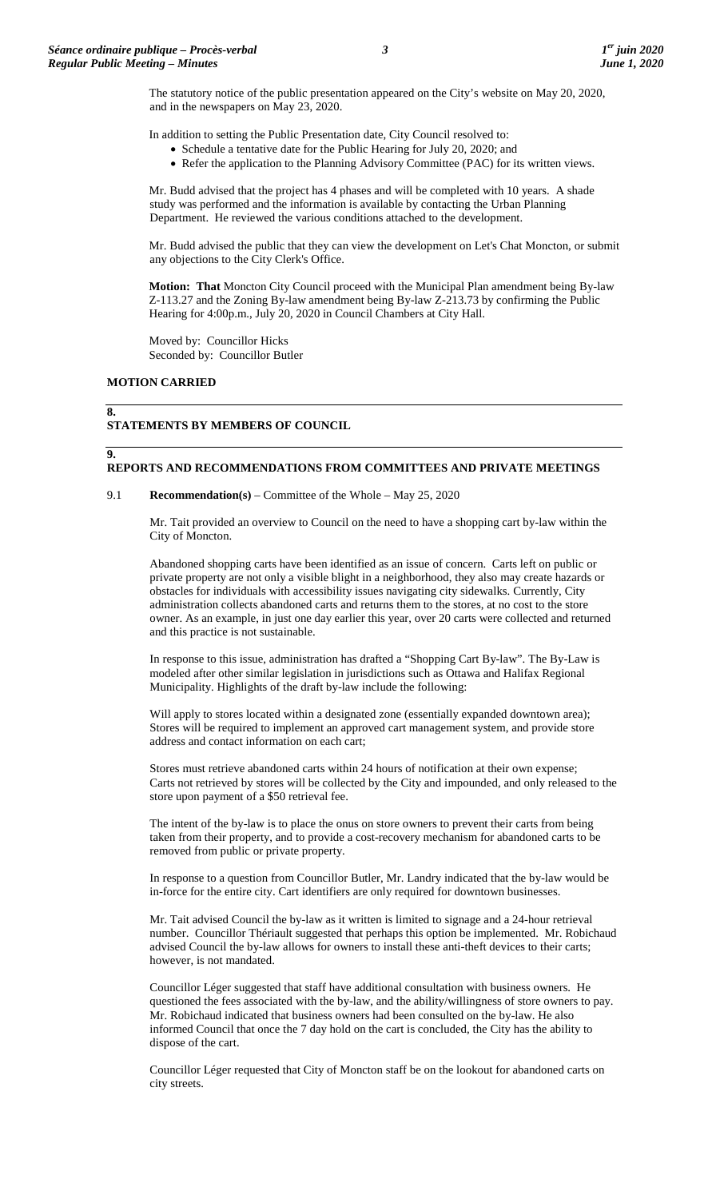The statutory notice of the public presentation appeared on the City's website on May 20, 2020, and in the newspapers on May 23, 2020.

In addition to setting the Public Presentation date, City Council resolved to:

- Schedule a tentative date for the Public Hearing for July 20, 2020; and
- Refer the application to the Planning Advisory Committee (PAC) for its written views.

Mr. Budd advised that the project has 4 phases and will be completed with 10 years. A shade study was performed and the information is available by contacting the Urban Planning Department. He reviewed the various conditions attached to the development.

Mr. Budd advised the public that they can view the development on Let's Chat Moncton, or submit any objections to the City Clerk's Office.

**Motion: That** Moncton City Council proceed with the Municipal Plan amendment being By-law Z-113.27 and the Zoning By-law amendment being By-law Z-213.73 by confirming the Public Hearing for 4:00p.m., July 20, 2020 in Council Chambers at City Hall.

Moved by: Councillor Hicks Seconded by: Councillor Butler

#### **MOTION CARRIED**

**9.**

#### **8. STATEMENTS BY MEMBERS OF COUNCIL**

### **REPORTS AND RECOMMENDATIONS FROM COMMITTEES AND PRIVATE MEETINGS**

#### 9.1 **Recommendation(s)** – Committee of the Whole – May 25, 2020

Mr. Tait provided an overview to Council on the need to have a shopping cart by-law within the City of Moncton.

Abandoned shopping carts have been identified as an issue of concern. Carts left on public or private property are not only a visible blight in a neighborhood, they also may create hazards or obstacles for individuals with accessibility issues navigating city sidewalks. Currently, City administration collects abandoned carts and returns them to the stores, at no cost to the store owner. As an example, in just one day earlier this year, over 20 carts were collected and returned and this practice is not sustainable.

In response to this issue, administration has drafted a "Shopping Cart By-law". The By-Law is modeled after other similar legislation in jurisdictions such as Ottawa and Halifax Regional Municipality. Highlights of the draft by-law include the following:

Will apply to stores located within a designated zone (essentially expanded downtown area); Stores will be required to implement an approved cart management system, and provide store address and contact information on each cart;

Stores must retrieve abandoned carts within 24 hours of notification at their own expense; Carts not retrieved by stores will be collected by the City and impounded, and only released to the store upon payment of a \$50 retrieval fee.

The intent of the by-law is to place the onus on store owners to prevent their carts from being taken from their property, and to provide a cost-recovery mechanism for abandoned carts to be removed from public or private property.

In response to a question from Councillor Butler, Mr. Landry indicated that the by-law would be in-force for the entire city. Cart identifiers are only required for downtown businesses.

Mr. Tait advised Council the by-law as it written is limited to signage and a 24-hour retrieval number. Councillor Thériault suggested that perhaps this option be implemented. Mr. Robichaud advised Council the by-law allows for owners to install these anti-theft devices to their carts; however, is not mandated.

Councillor Léger suggested that staff have additional consultation with business owners. He questioned the fees associated with the by-law, and the ability/willingness of store owners to pay. Mr. Robichaud indicated that business owners had been consulted on the by-law. He also informed Council that once the 7 day hold on the cart is concluded, the City has the ability to dispose of the cart.

Councillor Léger requested that City of Moncton staff be on the lookout for abandoned carts on city streets.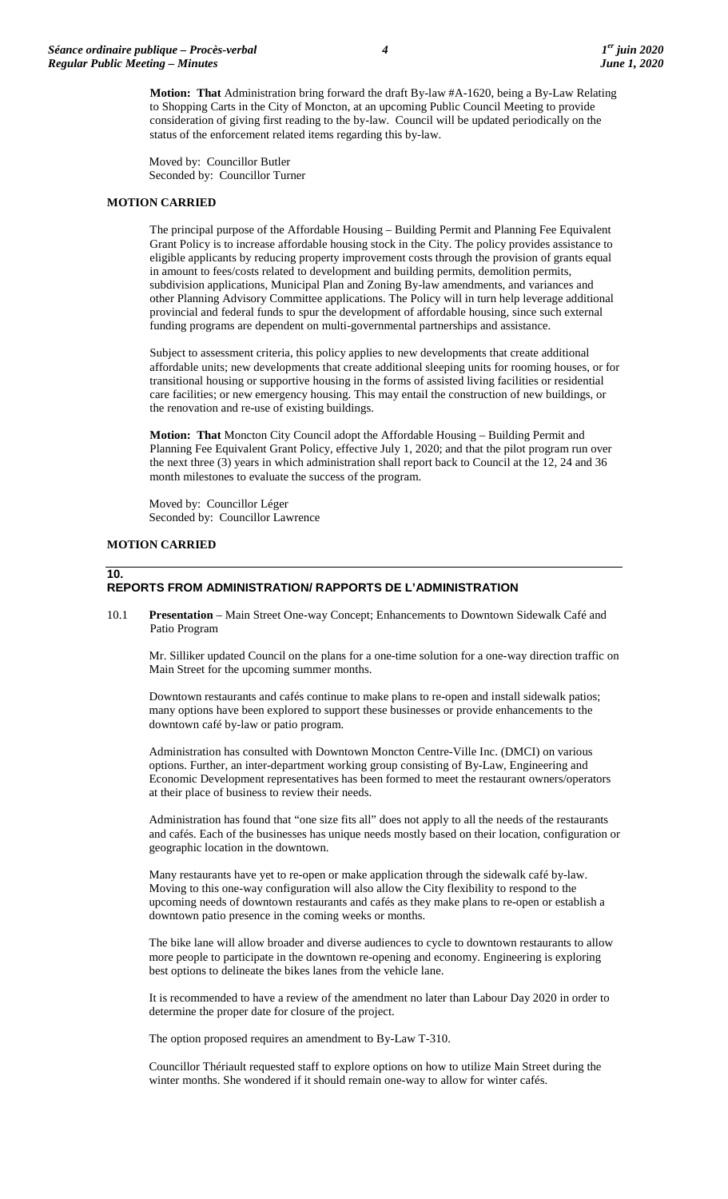**Motion: That** Administration bring forward the draft By-law #A-1620, being a By-Law Relating to Shopping Carts in the City of Moncton, at an upcoming Public Council Meeting to provide consideration of giving first reading to the by-law. Council will be updated periodically on the status of the enforcement related items regarding this by-law.

Moved by: Councillor Butler Seconded by: Councillor Turner

#### **MOTION CARRIED**

The principal purpose of the Affordable Housing – Building Permit and Planning Fee Equivalent Grant Policy is to increase affordable housing stock in the City. The policy provides assistance to eligible applicants by reducing property improvement costs through the provision of grants equal in amount to fees/costs related to development and building permits, demolition permits, subdivision applications, Municipal Plan and Zoning By-law amendments, and variances and other Planning Advisory Committee applications. The Policy will in turn help leverage additional provincial and federal funds to spur the development of affordable housing, since such external funding programs are dependent on multi-governmental partnerships and assistance.

Subject to assessment criteria, this policy applies to new developments that create additional affordable units; new developments that create additional sleeping units for rooming houses, or for transitional housing or supportive housing in the forms of assisted living facilities or residential care facilities; or new emergency housing. This may entail the construction of new buildings, or the renovation and re-use of existing buildings.

**Motion: That** Moncton City Council adopt the Affordable Housing – Building Permit and Planning Fee Equivalent Grant Policy, effective July 1, 2020; and that the pilot program run over the next three (3) years in which administration shall report back to Council at the 12, 24 and 36 month milestones to evaluate the success of the program.

Moved by: Councillor Léger Seconded by: Councillor Lawrence

## **MOTION CARRIED**

# **10.**

## **REPORTS FROM ADMINISTRATION/ RAPPORTS DE L'ADMINISTRATION**

10.1 **Presentation** – Main Street One-way Concept; Enhancements to Downtown Sidewalk Café and Patio Program

Mr. Silliker updated Council on the plans for a one-time solution for a one-way direction traffic on Main Street for the upcoming summer months.

Downtown restaurants and cafés continue to make plans to re-open and install sidewalk patios; many options have been explored to support these businesses or provide enhancements to the downtown café by-law or patio program.

Administration has consulted with Downtown Moncton Centre-Ville Inc. (DMCI) on various options. Further, an inter-department working group consisting of By-Law, Engineering and Economic Development representatives has been formed to meet the restaurant owners/operators at their place of business to review their needs.

Administration has found that "one size fits all" does not apply to all the needs of the restaurants and cafés. Each of the businesses has unique needs mostly based on their location, configuration or geographic location in the downtown.

Many restaurants have yet to re-open or make application through the sidewalk café by-law. Moving to this one-way configuration will also allow the City flexibility to respond to the upcoming needs of downtown restaurants and cafés as they make plans to re-open or establish a downtown patio presence in the coming weeks or months.

The bike lane will allow broader and diverse audiences to cycle to downtown restaurants to allow more people to participate in the downtown re-opening and economy. Engineering is exploring best options to delineate the bikes lanes from the vehicle lane.

It is recommended to have a review of the amendment no later than Labour Day 2020 in order to determine the proper date for closure of the project.

The option proposed requires an amendment to By-Law T-310.

Councillor Thériault requested staff to explore options on how to utilize Main Street during the winter months. She wondered if it should remain one-way to allow for winter cafés.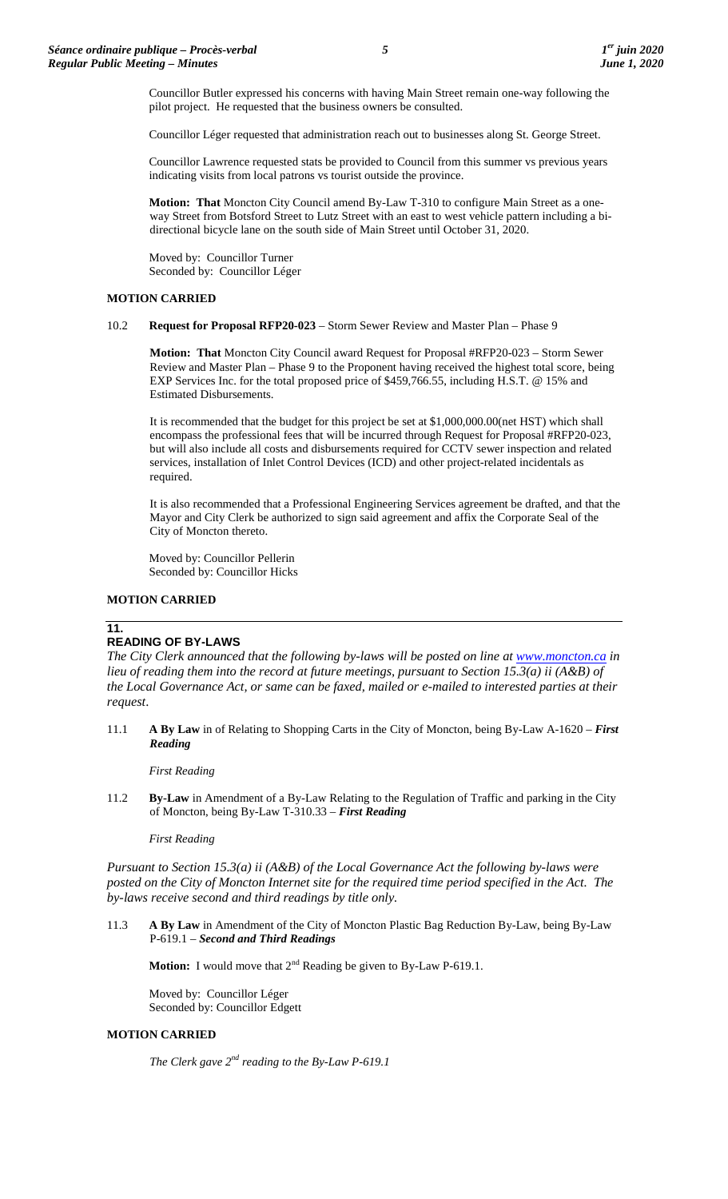Councillor Butler expressed his concerns with having Main Street remain one-way following the pilot project. He requested that the business owners be consulted.

Councillor Léger requested that administration reach out to businesses along St. George Street.

Councillor Lawrence requested stats be provided to Council from this summer vs previous years indicating visits from local patrons vs tourist outside the province.

**Motion: That** Moncton City Council amend By-Law T-310 to configure Main Street as a oneway Street from Botsford Street to Lutz Street with an east to west vehicle pattern including a bidirectional bicycle lane on the south side of Main Street until October 31, 2020.

Moved by: Councillor Turner Seconded by: Councillor Léger

## **MOTION CARRIED**

## 10.2 **Request for Proposal RFP20-023** – Storm Sewer Review and Master Plan – Phase 9

**Motion: That** Moncton City Council award Request for Proposal #RFP20-023 – Storm Sewer Review and Master Plan – Phase 9 to the Proponent having received the highest total score, being EXP Services Inc. for the total proposed price of \$459,766.55, including H.S.T. @ 15% and Estimated Disbursements.

It is recommended that the budget for this project be set at \$1,000,000.00(net HST) which shall encompass the professional fees that will be incurred through Request for Proposal #RFP20-023, but will also include all costs and disbursements required for CCTV sewer inspection and related services, installation of Inlet Control Devices (ICD) and other project-related incidentals as required.

It is also recommended that a Professional Engineering Services agreement be drafted, and that the Mayor and City Clerk be authorized to sign said agreement and affix the Corporate Seal of the City of Moncton thereto.

Moved by: Councillor Pellerin Seconded by: Councillor Hicks

### **MOTION CARRIED**

## **11.**

# **READING OF BY-LAWS**

The City Clerk announced that the following by-laws will be posted on line at **www.moncton.ca** in *lieu of reading them into the record at future meetings, pursuant to Section 15.3(a) ii (A&B) of the Local Governance Act, or same can be faxed, mailed or e-mailed to interested parties at their request*.

11.1 **A By Law** in of Relating to Shopping Carts in the City of Moncton, being By-Law A-1620 – *First Reading*

*First Reading*

11.2 **By-Law** in Amendment of a By-Law Relating to the Regulation of Traffic and parking in the City of Moncton, being By-Law T-310.33 – *First Reading*

### *First Reading*

*Pursuant to Section 15.3(a) ii (A&B) of the Local Governance Act the following by-laws were posted on the City of Moncton Internet site for the required time period specified in the Act. The by-laws receive second and third readings by title only.*

11.3 **A By Law** in Amendment of the City of Moncton Plastic Bag Reduction By-Law, being By-Law P-619.1 – *Second and Third Readings*

**Motion:** I would move that  $2^{nd}$  Reading be given to By-Law P-619.1.

Moved by: Councillor Léger Seconded by: Councillor Edgett

# **MOTION CARRIED**

*The Clerk gave 2nd reading to the By-Law P-619.1*